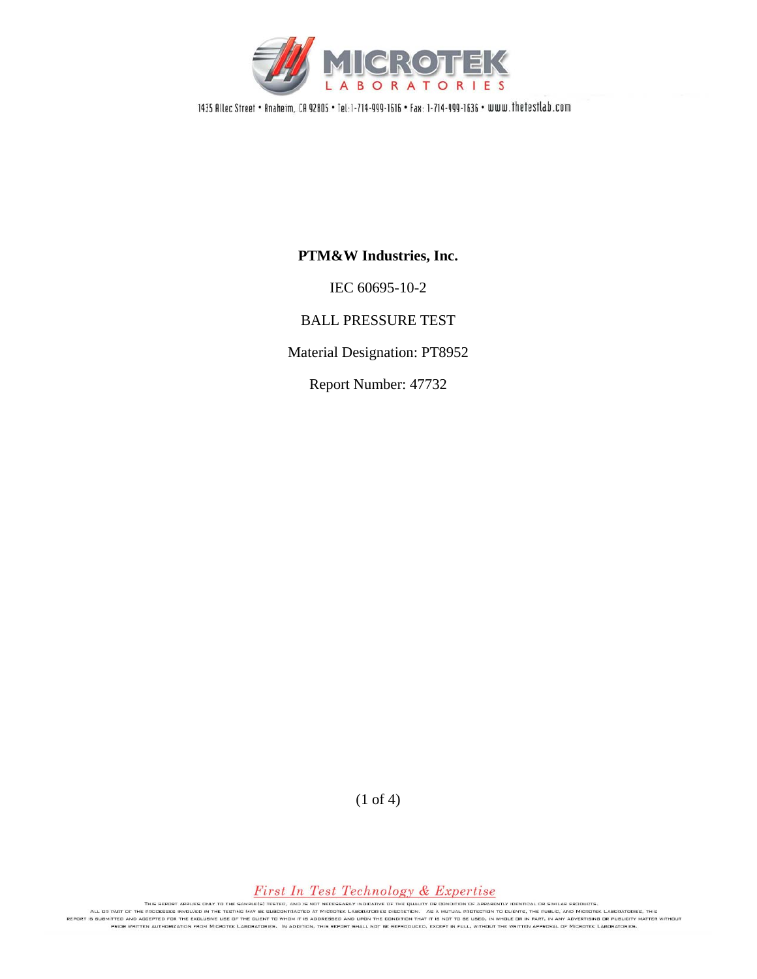

1435 Allec Street . Anaheim, CA 92805 . Tel:1-714-999-1616 . Fax: 1-714-999-1636 . www.thetestlab.com

## **PTM&W Industries, Inc.**

IEC 60695-10-2

BALL PRESSURE TEST

Material Designation: PT8952

Report Number: 47732

(1 of 4)

## First In Test Technology & Expertise

THIS REPORT APPLIES ONLY TO THE SAMPLE(S) TESTED, AND IS NOT NECESSARILY INDICATIVE OF THE QUALITY OR CONDITION OF APPARENTLY IDENTICAL OR SMILAR PRODUCTS.<br>REPORT IS DURITY AND ACCEPTED FOR THE DURITY NAME TESTING MAY BE S PRIOR WRITTEN AUTHORIZATION FROM MICROTEK LABORATORIES. IN ADDITION, THIS REPORT SHALL NOT BE REPRODUCED, EXCEPT IN FULL, WITHOUT THE WRITTEN APPROVAL OF MICROTEK LABORATORIES.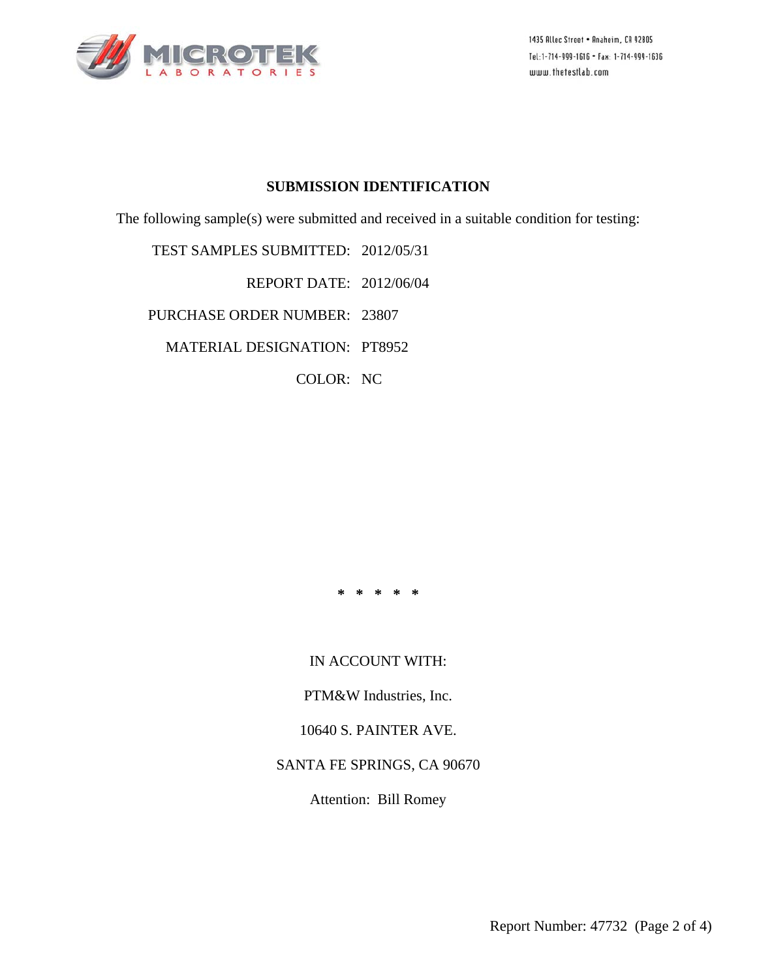

1435 Allec Street . Anaheim, CA 92805 Tel:1-714-999-1616 • Fax: 1-714-999-1636 www.thetestlab.com

#### **SUBMISSION IDENTIFICATION**

The following sample(s) were submitted and received in a suitable condition for testing:

TEST SAMPLES SUBMITTED: 2012/05/31

REPORT DATE: 2012/06/04

PURCHASE ORDER NUMBER: 23807

MATERIAL DESIGNATION: PT8952

COLOR: NC

**\* \* \* \* \*** 

IN ACCOUNT WITH:

PTM&W Industries, Inc.

10640 S. PAINTER AVE.

SANTA FE SPRINGS, CA 90670

Attention: Bill Romey

Report Number: 47732 (Page 2 of 4)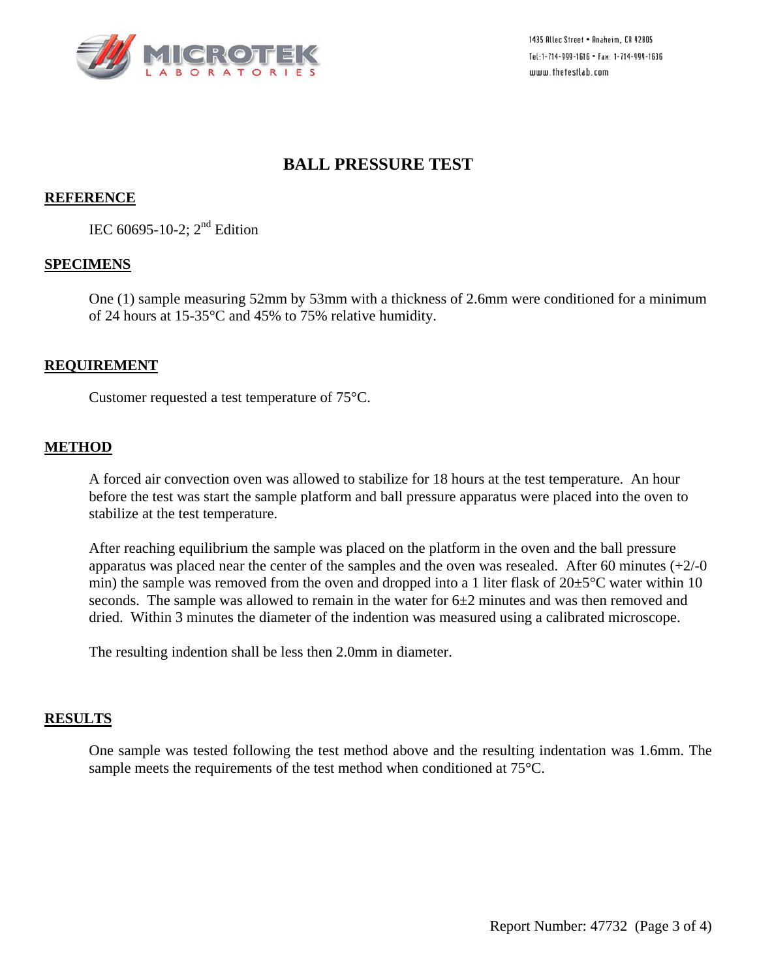

1435 Allec Street . Anaheim, CA 92805 Tel:1-714-999-1616 • Fax: 1-714-999-1636 www.thetestlab.com

## **BALL PRESSURE TEST**

### **REFERENCE**

IEC 60695-10-2;  $2<sup>nd</sup>$  Edition

#### **SPECIMENS**

One (1) sample measuring 52mm by 53mm with a thickness of 2.6mm were conditioned for a minimum of 24 hours at 15-35°C and 45% to 75% relative humidity.

#### **REQUIREMENT**

Customer requested a test temperature of 75°C.

#### **METHOD**

A forced air convection oven was allowed to stabilize for 18 hours at the test temperature. An hour before the test was start the sample platform and ball pressure apparatus were placed into the oven to stabilize at the test temperature.

After reaching equilibrium the sample was placed on the platform in the oven and the ball pressure apparatus was placed near the center of the samples and the oven was resealed. After 60 minutes  $(+2/-0)$ min) the sample was removed from the oven and dropped into a 1 liter flask of  $20\pm5^{\circ}$ C water within 10 seconds. The sample was allowed to remain in the water for  $6\pm 2$  minutes and was then removed and dried. Within 3 minutes the diameter of the indention was measured using a calibrated microscope.

The resulting indention shall be less then 2.0mm in diameter.

#### **RESULTS**

One sample was tested following the test method above and the resulting indentation was 1.6mm. The sample meets the requirements of the test method when conditioned at 75°C.